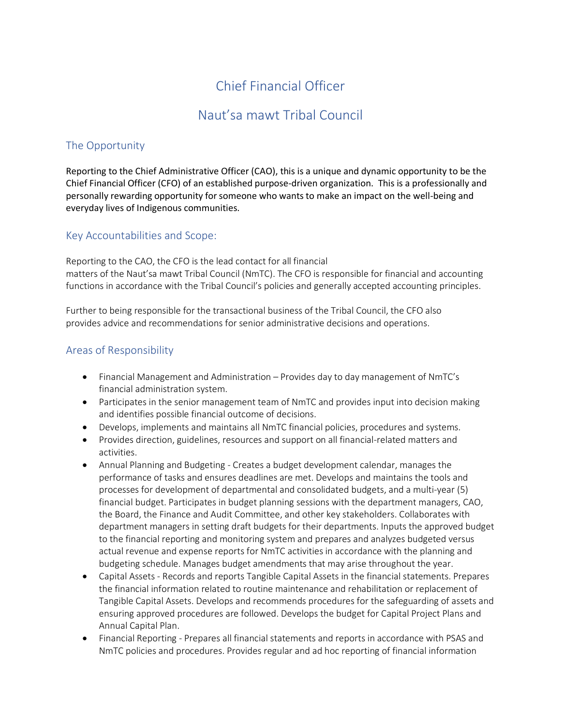# Chief Financial Officer

## Naut'sa mawt Tribal Council

## The Opportunity

Reporting to the Chief Administrative Officer (CAO), this is a unique and dynamic opportunity to be the Chief Financial Officer (CFO) of an established purpose-driven organization. This is a professionally and personally rewarding opportunity for someone who wants to make an impact on the well-being and everyday lives of Indigenous communities.

## Key Accountabilities and Scope:

Reporting to the CAO, the CFO is the lead contact for all financial matters of the Naut'sa mawt Tribal Council (NmTC). The CFO is responsible for financial and accounting functions in accordance with the Tribal Council's policies and generally accepted accounting principles.

Further to being responsible for the transactional business of the Tribal Council, the CFO also provides advice and recommendations for senior administrative decisions and operations.

#### Areas of Responsibility

- Financial Management and Administration Provides day to day management of NmTC's financial administration system.
- Participates in the senior management team of NmTC and provides input into decision making and identifies possible financial outcome of decisions.
- Develops, implements and maintains all NmTC financial policies, procedures and systems.
- Provides direction, guidelines, resources and support on all financial-related matters and activities.
- Annual Planning and Budgeting Creates a budget development calendar, manages the performance of tasks and ensures deadlines are met. Develops and maintains the tools and processes for development of departmental and consolidated budgets, and a multi-year (5) financial budget. Participates in budget planning sessions with the department managers, CAO, the Board, the Finance and Audit Committee, and other key stakeholders. Collaborates with department managers in setting draft budgets for their departments. Inputs the approved budget to the financial reporting and monitoring system and prepares and analyzes budgeted versus actual revenue and expense reports for NmTC activities in accordance with the planning and budgeting schedule. Manages budget amendments that may arise throughout the year.
- Capital Assets Records and reports Tangible Capital Assets in the financial statements. Prepares the financial information related to routine maintenance and rehabilitation or replacement of Tangible Capital Assets. Develops and recommends procedures for the safeguarding of assets and ensuring approved procedures are followed. Develops the budget for Capital Project Plans and Annual Capital Plan.
- Financial Reporting Prepares all financial statements and reports in accordance with PSAS and NmTC policies and procedures. Provides regular and ad hoc reporting of financial information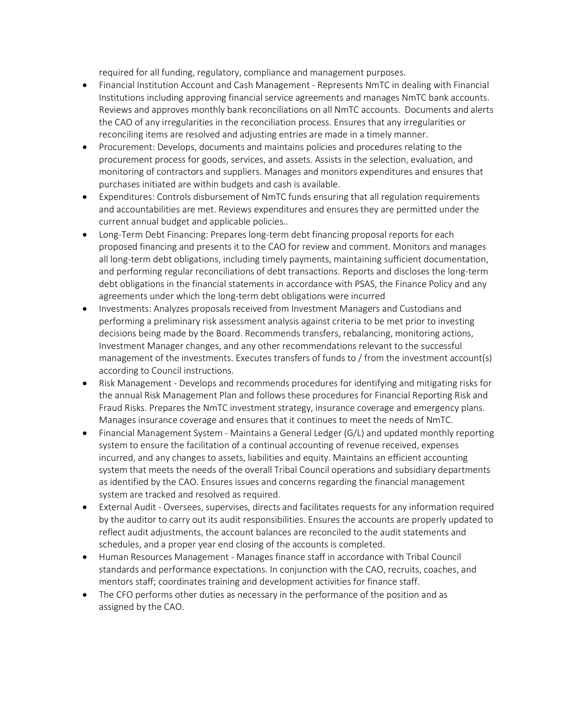required for all funding, regulatory, compliance and management purposes.

- Financial Institution Account and Cash Management Represents NmTC in dealing with Financial Institutions including approving financial service agreements and manages NmTC bank accounts. Reviews and approves monthly bank reconciliations on all NmTC accounts. Documents and alerts the CAO of any irregularities in the reconciliation process. Ensures that any irregularities or reconciling items are resolved and adjusting entries are made in a timely manner.
- Procurement: Develops, documents and maintains policies and procedures relating to the procurement process for goods, services, and assets. Assists in the selection, evaluation, and monitoring of contractors and suppliers. Manages and monitors expenditures and ensures that purchases initiated are within budgets and cash is available.
- Expenditures: Controls disbursement of NmTC funds ensuring that all regulation requirements and accountabilities are met. Reviews expenditures and ensures they are permitted under the current annual budget and applicable policies..
- Long-Term Debt Financing: Prepares long-term debt financing proposal reports for each proposed financing and presents it to the CAO for review and comment. Monitors and manages all long-term debt obligations, including timely payments, maintaining sufficient documentation, and performing regular reconciliations of debt transactions. Reports and discloses the long-term debt obligations in the financial statements in accordance with PSAS, the Finance Policy and any agreements under which the long-term debt obligations were incurred
- Investments: Analyzes proposals received from Investment Managers and Custodians and performing a preliminary risk assessment analysis against criteria to be met prior to investing decisions being made by the Board. Recommends transfers, rebalancing, monitoring actions, Investment Manager changes, and any other recommendations relevant to the successful management of the investments. Executes transfers of funds to / from the investment account(s) according to Council instructions.
- Risk Management Develops and recommends procedures for identifying and mitigating risks for the annual Risk Management Plan and follows these procedures for Financial Reporting Risk and Fraud Risks. Prepares the NmTC investment strategy, insurance coverage and emergency plans. Manages insurance coverage and ensures that it continues to meet the needs of NmTC.
- Financial Management System Maintains a General Ledger (G/L) and updated monthly reporting system to ensure the facilitation of a continual accounting of revenue received, expenses incurred, and any changes to assets, liabilities and equity. Maintains an efficient accounting system that meets the needs of the overall Tribal Council operations and subsidiary departments as identified by the CAO. Ensures issues and concerns regarding the financial management system are tracked and resolved as required.
- External Audit Oversees, supervises, directs and facilitates requests for any information required by the auditor to carry out its audit responsibilities. Ensures the accounts are properly updated to reflect audit adjustments, the account balances are reconciled to the audit statements and schedules, and a proper year end closing of the accounts is completed.
- Human Resources Management Manages finance staff in accordance with Tribal Council standards and performance expectations. In conjunction with the CAO, recruits, coaches, and mentors staff; coordinates training and development activities for finance staff.
- The CFO performs other duties as necessary in the performance of the position and as assigned by the CAO.